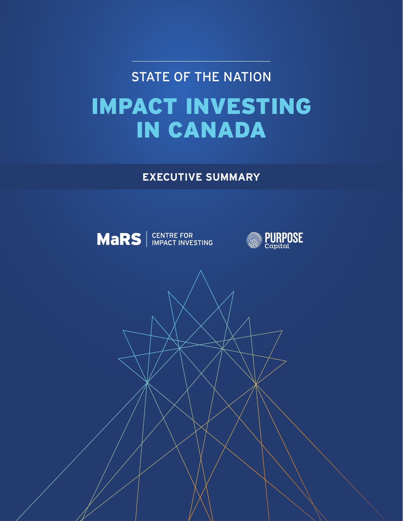# STATE OF THE NATION IMPACT INVESTING IN CANADA

### **EXECUTIVE SUMMARY**





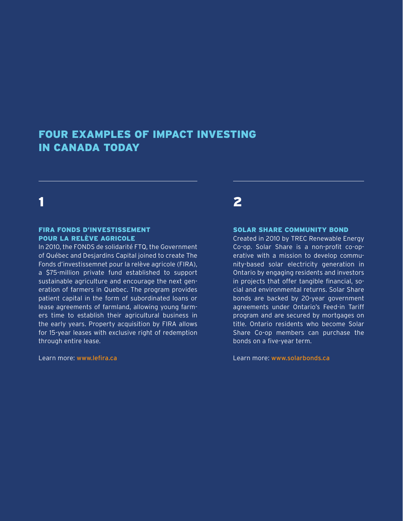### FOUR EXAMPLES OF IMPACT INVESTING IN CANADA TODAY

### FIRA FONDS D'INVESTISSEMENT POUR LA RELÈVE AGRICOLE

In 2010, the FONDS de solidarité FTQ, the Government of Québec and Desjardins Capital joined to create The Fonds d'investissemnet pour la relève agricole (FIRA), a \$75-million private fund established to support sustainable agriculture and encourage the next generation of farmers in Quebec. The program provides patient capital in the form of subordinated loans or lease agreements of farmland, allowing young farmers time to establish their agricultural business in the early years. Property acquisition by FIRA allows for 15-year leases with exclusive right of redemption through entire lease.

Learn more: www.lefira.ca

## 1  $\sim$  2  $\sim$  2  $\sim$  2

#### SOLAR SHARE COMMUNITY BOND

Created in 2010 by TREC Renewable Energy Co-op. Solar Share is a non-profit co-operative with a mission to develop community-based solar electricity generation in Ontario by engaging residents and investors in projects that offer tangible financial, social and environmental returns. Solar Share bonds are backed by 20-year government agreements under Ontario's Feed-in Tariff program and are secured by mortgages on title. Ontario residents who become Solar Share Co-op members can purchase the bonds on a five-year term.

Learn more: www.solarbonds.ca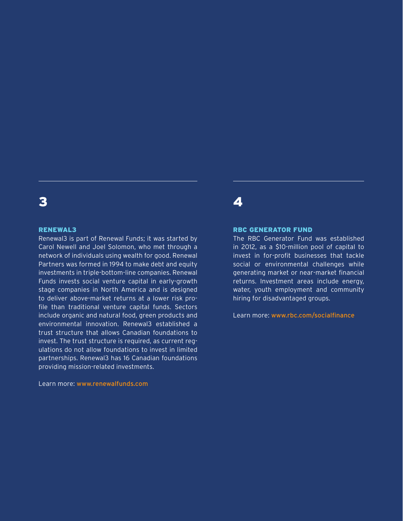## $3$  4

#### RENEWAL3

Renewal3 is part of Renewal Funds; it was started by Carol Newell and Joel Solomon, who met through a network of individuals using wealth for good. Renewal Partners was formed in 1994 to make debt and equity investments in triple-bottom-line companies. Renewal Funds invests social venture capital in early-growth stage companies in North America and is designed to deliver above-market returns at a lower risk profile than traditional venture capital funds. Sectors include organic and natural food, green products and environmental innovation. Renewal3 established a trust structure that allows Canadian foundations to invest. The trust structure is required, as current regulations do not allow foundations to invest in limited partnerships. Renewal3 has 16 Canadian foundations providing mission-related investments.

Learn more: www.renewalfunds.com

#### RBC GENERATOR FUND

The RBC Generator Fund was established in 2012, as a \$10-million pool of capital to invest in for-profit businesses that tackle social or environmental challenges while generating market or near-market financial returns. Investment areas include energy, water, youth employment and community hiring for disadvantaged groups.

Learn more: www.rbc.com/socialfinance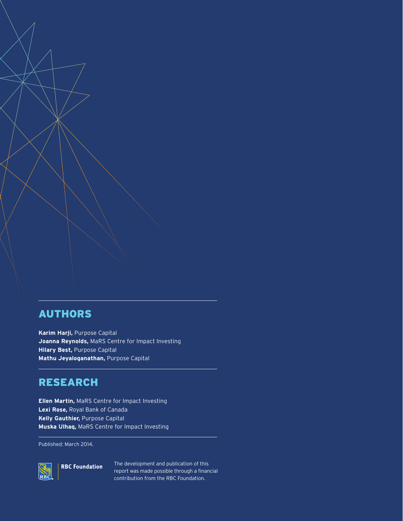### AUTHORS

**Karim Harji,** Purpose Capital **Joanna Reynolds,** MaRS Centre for Impact Investing **Hilary Best,** Purpose Capital **Mathu Jeyaloganathan,** Purpose Capital

### RESEARCH

**Ellen Martin,** MaRS Centre for Impact Investing **Lexi Rose,** Royal Bank of Canada **Kelly Gauthier,** Purpose Capital **Muska Ulhaq,** MaRS Centre for Impact Investing

Published: March 2014.



**RBC Foundation** 

The development and publication of this report was made possible through a financial contribution from the RBC Foundation.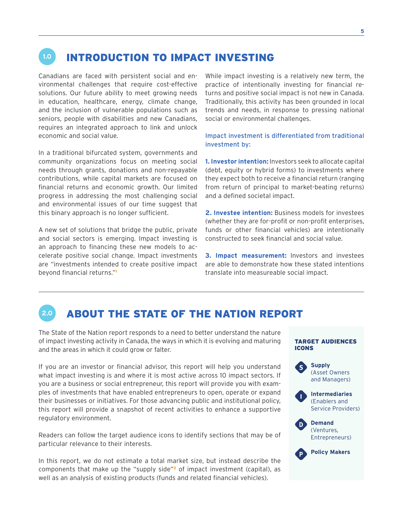#### INTRODUCTION TO IMPACT INVESTING **1.0**

Canadians are faced with persistent social and environmental challenges that require cost-effective solutions. Our future ability to meet growing needs in education, healthcare, energy, climate change, and the inclusion of vulnerable populations such as seniors, people with disabilities and new Canadians, requires an integrated approach to link and unlock economic and social value.

In a traditional bifurcated system, governments and community organizations focus on meeting social needs through grants, donations and non-repayable contributions, while capital markets are focused on financial returns and economic growth. Our limited progress in addressing the most challenging social and environmental issues of our time suggest that this binary approach is no longer sufficient.

A new set of solutions that bridge the public, private and social sectors is emerging. Impact investing is an approach to financing these new models to accelerate positive social change. Impact investments are "investments intended to create positive impact beyond financial returns."**<sup>1</sup>**

While impact investing is a relatively new term, the practice of intentionally investing for financial returns and positive social impact is not new in Canada. Traditionally, this activity has been grounded in local trends and needs, in response to pressing national social or environmental challenges.

### Impact investment is differentiated from traditional investment by:

**1. Investor intention:** Investors seek to allocate capital (debt, equity or hybrid forms) to investments where they expect both to receive a financial return (ranging from return of principal to market-beating returns) and a defined societal impact.

**2. Investee intention:** Business models for investees (whether they are for-profit or non-profit enterprises, funds or other financial vehicles) are intentionally constructed to seek financial and social value.

**3. Impact measurement:** Investors and investees are able to demonstrate how these stated intentions translate into measureable social impact.

#### ABOUT THE STATE OF THE NATION REPORT **2.0**

The State of the Nation report responds to a need to better understand the nature of impact investing activity in Canada, the ways in which it is evolving and maturing and the areas in which it could grow or falter.

If you are an investor or financial advisor, this report will help you understand what impact investing is and where it is most active across 10 impact sectors. If you are a business or social entrepreneur, this report will provide you with examples of investments that have enabled entrepreneurs to open, operate or expand their businesses or initiatives. For those advancing public and institutional policy, this report will provide a snapshot of recent activities to enhance a supportive regulatory environment.

Readers can follow the target audience icons to identify sections that may be of particular relevance to their interests.

In this report, we do not estimate a total market size, but instead describe the components that make up the "supply side"**2** of impact investment (capital), as well as an analysis of existing products (funds and related financial vehicles).

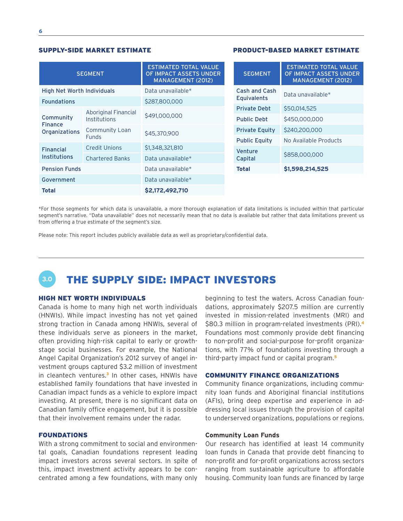#### SUPPLY-SIDE MARKET ESTIMATE PRODUCT-BASED MARKET ESTIMATE

| <b>SEGMENT</b>                               |                             | <b>ESTIMATED TOTAL VALUE</b><br>OF IMPACT ASSETS UNDER<br><b>MANAGEMENT (2012)</b> |                      | <b>SEGMENT</b>        | <b>ESTIMATED TOTAL VALUE</b><br>OF IMPACT ASSETS UNDER<br><b>MANAGEMENT (2012)</b> |
|----------------------------------------------|-----------------------------|------------------------------------------------------------------------------------|----------------------|-----------------------|------------------------------------------------------------------------------------|
| <b>High Net Worth Individuals</b>            |                             | Data unavailable*                                                                  |                      | Cash and Cash         | Data unavailable*                                                                  |
| <b>Foundations</b>                           |                             | \$287,800,000                                                                      |                      | <b>Equivalents</b>    |                                                                                    |
| Community<br><b>Finance</b><br>Organizations | <b>Aboriginal Financial</b> | \$491,000,000                                                                      |                      | <b>Private Debt</b>   | \$50,014,525                                                                       |
|                                              | <b>Institutions</b>         |                                                                                    |                      | <b>Public Debt</b>    | \$450,000,000                                                                      |
|                                              | <b>Community Loan</b>       | \$45,370,900                                                                       |                      | <b>Private Equity</b> | \$240,200,000                                                                      |
|                                              | <b>Funds</b>                |                                                                                    | <b>Public Equity</b> | No Available Products |                                                                                    |
| <b>Financial</b><br><b>Institutions</b>      | <b>Credit Unions</b>        | \$1,348,321,810                                                                    |                      | Venture<br>Capital    | \$858,000,000                                                                      |
|                                              | <b>Chartered Banks</b>      | Data unavailable*                                                                  |                      |                       |                                                                                    |
| <b>Pension Funds</b>                         |                             | Data unavailable*                                                                  |                      | <b>Total</b>          | \$1,598,214,525                                                                    |
| Government                                   |                             | Data unavailable*                                                                  |                      |                       |                                                                                    |
| <b>Total</b>                                 |                             | \$2,172,492,710                                                                    |                      |                       |                                                                                    |

\*For those segments for which data is unavailable, a more thorough explanation of data limitations is included within that particular segment's narrative. "Data unavailable" does not necessarily mean that no data is available but rather that data limitations prevent us from offering a true estimate of the segment's size.

Please note: This report includes publicly available data as well as proprietary/confidential data.

### **3.0** THE SUPPLY SIDE: IMPACT INVESTORS

#### HIGH NET WORTH INDIVIDUALS

Canada is home to many high net worth individuals (HNWIs). While impact investing has not yet gained strong traction in Canada among HNWIs, several of these individuals serve as pioneers in the market, often providing high-risk capital to early or growthstage social businesses. For example, the National Angel Capital Organization's 2012 survey of angel investment groups captured \$3.2 million of investment in cleantech ventures.**3** In other cases, HNWIs have established family foundations that have invested in Canadian impact funds as a vehicle to explore impact investing. At present, there is no significant data on Canadian family office engagement, but it is possible that their involvement remains under the radar.

#### FOUNDATIONS

With a strong commitment to social and environmental goals, Canadian foundations represent leading impact investors across several sectors. In spite of this, impact investment activity appears to be concentrated among a few foundations, with many only beginning to test the waters. Across Canadian foundations, approximately \$207.5 million are currently invested in mission-related investments (MRI) and \$80.3 million in program-related investments (PRI).**<sup>4</sup>** Foundations most commonly provide debt financing to non-profit and social-purpose for-profit organizations, with 77% of foundations investing through a third-party impact fund or capital program.**<sup>5</sup>**

#### COMMUNITY FINANCE ORGANIZATIONS

Community finance organizations, including community loan funds and Aboriginal financial institutions (AFIs), bring deep expertise and experience in addressing local issues through the provision of capital to underserved organizations, populations or regions.

#### **Community Loan Funds**

Our research has identified at least 14 community loan funds in Canada that provide debt financing to non-profit and for-profit organizations across sectors ranging from sustainable agriculture to affordable housing. Community loan funds are financed by large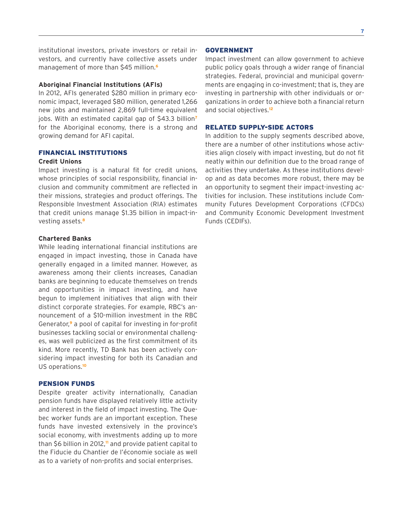institutional investors, private investors or retail investors, and currently have collective assets under management of more than \$45 million.**<sup>6</sup>**

#### **Aboriginal Financial Institutions (AFIs)**

In 2012, AFIs generated \$280 million in primary economic impact, leveraged \$80 million, generated 1,266 new jobs and maintained 2,869 full-time equivalent jobs. With an estimated capital gap of \$43.3 billion**<sup>7</sup>** for the Aboriginal economy, there is a strong and growing demand for AFI capital.

#### FINANCIAL INSTITUTIONS

#### **Credit Unions**

Impact investing is a natural fit for credit unions, whose principles of social responsibility, financial inclusion and community commitment are reflected in their missions, strategies and product offerings. The Responsible Investment Association (RIA) estimates that credit unions manage \$1.35 billion in impact-investing assets.**<sup>8</sup>**

#### **Chartered Banks**

While leading international financial institutions are engaged in impact investing, those in Canada have generally engaged in a limited manner. However, as awareness among their clients increases, Canadian banks are beginning to educate themselves on trends and opportunities in impact investing, and have begun to implement initiatives that align with their distinct corporate strategies. For example, RBC's announcement of a \$10-million investment in the RBC Generator,**9** a pool of capital for investing in for-profit businesses tackling social or environmental challenges, was well publicized as the first commitment of its kind. More recently, TD Bank has been actively considering impact investing for both its Canadian and US operations.**<sup>10</sup>**

#### PENSION FUNDS

Despite greater activity internationally, Canadian pension funds have displayed relatively little activity and interest in the field of impact investing. The Quebec worker funds are an important exception. These funds have invested extensively in the province's social economy, with investments adding up to more than \$6 billion in 2012,**11** and provide patient capital to the Fiducie du Chantier de l'économie sociale as well as to a variety of non-profits and social enterprises.

#### GOVERNMENT

Impact investment can allow government to achieve public policy goals through a wider range of financial strategies. Federal, provincial and municipal governments are engaging in co-investment; that is, they are investing in partnership with other individuals or organizations in order to achieve both a financial return and social objectives.**<sup>12</sup>**

#### RELATED SUPPLY-SIDE ACTORS

In addition to the supply segments described above, there are a number of other institutions whose activities align closely with impact investing, but do not fit neatly within our definition due to the broad range of activities they undertake. As these institutions develop and as data becomes more robust, there may be an opportunity to segment their impact-investing activities for inclusion. These institutions include Community Futures Development Corporations (CFDCs) and Community Economic Development Investment Funds (CEDIFs).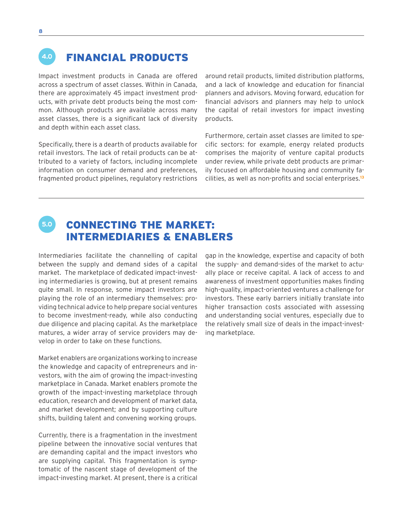#### FINANCIAL PRODUCTS **4.0**

Impact investment products in Canada are offered across a spectrum of asset classes. Within in Canada, there are approximately 45 impact investment products, with private debt products being the most common. Although products are available across many asset classes, there is a significant lack of diversity and depth within each asset class.

Specifically, there is a dearth of products available for retail investors. The lack of retail products can be attributed to a variety of factors, including incomplete information on consumer demand and preferences, fragmented product pipelines, regulatory restrictions

around retail products, limited distribution platforms, and a lack of knowledge and education for financial planners and advisors. Moving forward, education for financial advisors and planners may help to unlock the capital of retail investors for impact investing products.

Furthermore, certain asset classes are limited to specific sectors: for example, energy related products comprises the majority of venture capital products under review, while private debt products are primarily focused on affordable housing and community facilities, as well as non-profits and social enterprises.**<sup>13</sup>**

**5.0**

### CONNECTING THE MARKET: INTERMEDIARIES & ENABLERS

Intermediaries facilitate the channelling of capital between the supply and demand sides of a capital market. The marketplace of dedicated impact-investing intermediaries is growing, but at present remains quite small. In response, some impact investors are playing the role of an intermediary themselves: providing technical advice to help prepare social ventures to become investment-ready, while also conducting due diligence and placing capital. As the marketplace matures, a wider array of service providers may develop in order to take on these functions.

Market enablers are organizations working to increase the knowledge and capacity of entrepreneurs and investors, with the aim of growing the impact-investing marketplace in Canada. Market enablers promote the growth of the impact-investing marketplace through education, research and development of market data, and market development; and by supporting culture shifts, building talent and convening working groups.

Currently, there is a fragmentation in the investment pipeline between the innovative social ventures that are demanding capital and the impact investors who are supplying capital. This fragmentation is symptomatic of the nascent stage of development of the impact-investing market. At present, there is a critical

gap in the knowledge, expertise and capacity of both the supply- and demand-sides of the market to actually place or receive capital. A lack of access to and awareness of investment opportunities makes finding high-quality, impact-oriented ventures a challenge for investors. These early barriers initially translate into higher transaction costs associated with assessing and understanding social ventures, especially due to the relatively small size of deals in the impact-investing marketplace.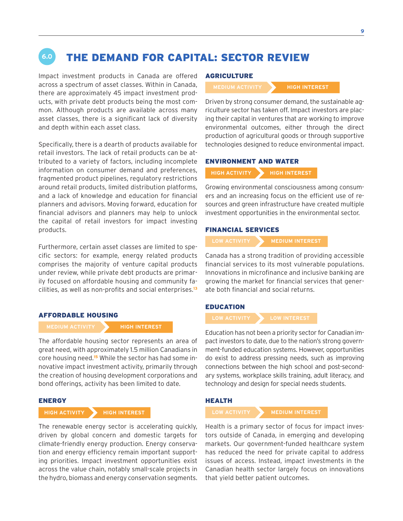### **6.0** THE DEMAND FOR CAPITAL: SECTOR REVIEW

Impact investment products in Canada are offered across a spectrum of asset classes. Within in Canada, there are approximately 45 impact investment products, with private debt products being the most common. Although products are available across many asset classes, there is a significant lack of diversity and depth within each asset class.

Specifically, there is a dearth of products available for retail investors. The lack of retail products can be attributed to a variety of factors, including incomplete information on consumer demand and preferences, fragmented product pipelines, regulatory restrictions around retail products, limited distribution platforms, and a lack of knowledge and education for financial planners and advisors. Moving forward, education for financial advisors and planners may help to unlock the capital of retail investors for impact investing products.

Furthermore, certain asset classes are limited to specific sectors: for example, energy related products comprises the majority of venture capital products under review, while private debt products are primarily focused on affordable housing and community facilities, as well as non-profits and social enterprises.**<sup>13</sup>**

#### AFFORDABLE HOUSING

**MEDIUM ACTIVITY HIGH INTEREST** 

The affordable housing sector represents an area of great need, with approximately 1.5 million Canadians in core housing need.**15** While the sector has had some innovative impact investment activity, primarily through the creation of housing development corporations and bond offerings, activity has been limited to date.

#### ENERGY

#### **HIGH ACTIVITY > HIGH INTEREST**

The renewable energy sector is accelerating quickly, driven by global concern and domestic targets for climate-friendly energy production. Energy conservation and energy efficiency remain important supporting priorities. Impact investment opportunities exist across the value chain, notably small-scale projects in the hydro, biomass and energy conservation segments.

#### AGRICULTURE

**MEDIUM ACTIVITY A** HIGH INTEREST

Driven by strong consumer demand, the sustainable agriculture sector has taken off. Impact investors are placing their capital in ventures that are working to improve environmental outcomes, either through the direct production of agricultural goods or through supportive technologies designed to reduce environmental impact.

#### ENVIRONMENT AND WATER

**HIGH ACTIVITY HIGH INTEREST** 

Growing environmental consciousness among consumers and an increasing focus on the efficient use of resources and green infrastructure have created multiple investment opportunities in the environmental sector.

### FINANCIAL SERVICES

**LOW ACTIVITY MEDIUM INTEREST**

Canada has a strong tradition of providing accessible financial services to its most vulnerable populations. Innovations in microfinance and inclusive banking are growing the market for financial services that generate both financial and social returns.

#### EDUCATION

**LOW ACTIVITY LOW INTEREST**

Education has not been a priority sector for Canadian impact investors to date, due to the nation's strong government-funded education systems. However, opportunities do exist to address pressing needs, such as improving connections between the high school and post-secondary systems, workplace skills training, adult literacy, and technology and design for special needs students.

#### HEALTH

**LOW ACTIVITY MEDIUM INTEREST**

Health is a primary sector of focus for impact investors outside of Canada, in emerging and developing markets. Our government-funded healthcare system has reduced the need for private capital to address issues of access. Instead, impact investments in the Canadian health sector largely focus on innovations that yield better patient outcomes.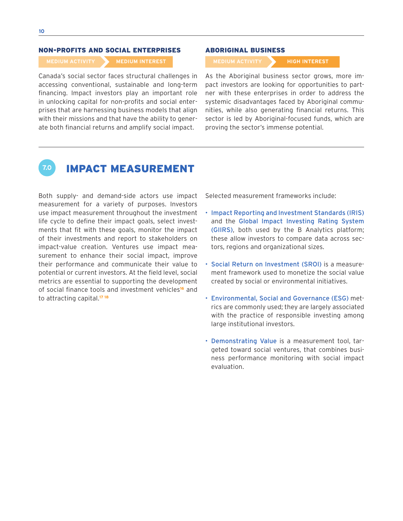### NON-PROFITS AND SOCIAL ENTERPRISES

### **MEDIUM ACTIVITY MEDIUM INTEREST MEDIUM ACTIVITY HIGH INTEREST**

Canada's social sector faces structural challenges in accessing conventional, sustainable and long-term financing. Impact investors play an important role in unlocking capital for non-profits and social enterprises that are harnessing business models that align with their missions and that have the ability to generate both financial returns and amplify social impact.

#### ABORIGINAL BUSINESS

As the Aboriginal business sector grows, more impact investors are looking for opportunities to partner with these enterprises in order to address the systemic disadvantages faced by Aboriginal communities, while also generating financial returns. This sector is led by Aboriginal-focused funds, which are proving the sector's immense potential.



### **7.0** IMPACT MEASUREMENT

Both supply- and demand-side actors use impact measurement for a variety of purposes. Investors use impact measurement throughout the investment life cycle to define their impact goals, select investments that fit with these goals, monitor the impact of their investments and report to stakeholders on impact-value creation. Ventures use impact measurement to enhance their social impact, improve their performance and communicate their value to potential or current investors. At the field level, social metrics are essential to supporting the development of social finance tools and investment vehicles**16** and to attracting capital.**17 18** 

Selected measurement frameworks include:

- **· Impact Reporting and Investment Standards (IRIS)** and the Global Impact Investing Rating System (GIIRS), both used by the B Analytics platform; these allow investors to compare data across sectors, regions and organizational sizes.
- Social Return on Investment (SROI) is a measurement framework used to monetize the social value created by social or environmental initiatives.
- Environmental, Social and Governance (ESG) metrics are commonly used; they are largely associated with the practice of responsible investing among large institutional investors.
- Demonstrating Value is a measurement tool, targeted toward social ventures, that combines business performance monitoring with social impact evaluation.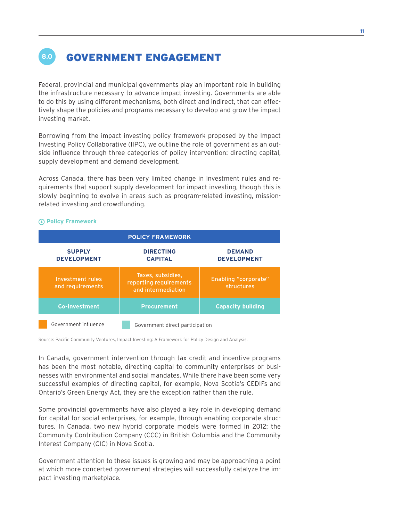## **8.0** GOVERNMENT ENGAGEMENT

Federal, provincial and municipal governments play an important role in building the infrastructure necessary to advance impact investing. Governments are able to do this by using different mechanisms, both direct and indirect, that can effectively shape the policies and programs necessary to develop and grow the impact investing market.

Borrowing from the impact investing policy framework proposed by the Impact Investing Policy Collaborative (IIPC), we outline the role of government as an outside influence through three categories of policy intervention: directing capital, supply development and demand development.

Across Canada, there has been very limited change in investment rules and requirements that support supply development for impact investing, though this is slowly beginning to evolve in areas such as program-related investing, missionrelated investing and crowdfunding.

| <b>POLICY FRAMEWORK</b>                                 |                                                                   |                                     |  |  |  |  |
|---------------------------------------------------------|-------------------------------------------------------------------|-------------------------------------|--|--|--|--|
| <b>SUPPLY</b><br><b>DEVELOPMENT</b>                     | <b>DIRECTING</b><br><b>CAPITAL</b>                                | <b>DEMAND</b><br><b>DEVELOPMENT</b> |  |  |  |  |
| Investment rules<br>and requirements                    | Taxes, subsidies,<br>reporting requirements<br>and intermediation | Enabling "corporate"<br>structures  |  |  |  |  |
| Co-investment                                           | <b>Procurement</b>                                                | <b>Capacity building</b>            |  |  |  |  |
| Government influence<br>Government direct participation |                                                                   |                                     |  |  |  |  |

#### **Policy Framework**

Source: Pacific Community Ventures, Impact Investing: A Framework for Policy Design and Analysis.

In Canada, government intervention through tax credit and incentive programs has been the most notable, directing capital to community enterprises or businesses with environmental and social mandates. While there have been some very successful examples of directing capital, for example, Nova Scotia's CEDIFs and Ontario's Green Energy Act, they are the exception rather than the rule.

Some provincial governments have also played a key role in developing demand for capital for social enterprises, for example, through enabling corporate structures. In Canada, two new hybrid corporate models were formed in 2012: the Community Contribution Company (CCC) in British Columbia and the Community Interest Company (CIC) in Nova Scotia.

Government attention to these issues is growing and may be approaching a point at which more concerted government strategies will successfully catalyze the impact investing marketplace.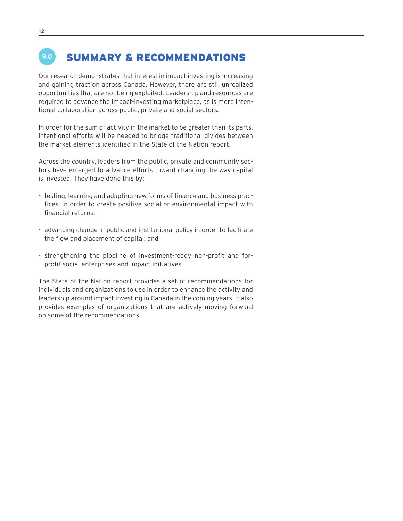## **9.0** SUMMARY & RECOMMENDATIONS

Our research demonstrates that interest in impact investing is increasing and gaining traction across Canada. However, there are still unrealized opportunities that are not being exploited. Leadership and resources are required to advance the impact-investing marketplace, as is more intentional collaboration across public, private and social sectors.

In order for the sum of activity in the market to be greater than its parts, intentional efforts will be needed to bridge traditional divides between the market elements identified in the State of the Nation report.

Across the country, leaders from the public, private and community sectors have emerged to advance efforts toward changing the way capital is invested. They have done this by:

- testing, learning and adapting new forms of finance and business practices, in order to create positive social or environmental impact with financial returns;
- advancing change in public and institutional policy in order to facilitate the flow and placement of capital; and
- strengthening the pipeline of investment-ready non-profit and forprofit social enterprises and impact initiatives.

The State of the Nation report provides a set of recommendations for individuals and organizations to use in order to enhance the activity and leadership around impact investing in Canada in the coming years. It also provides examples of organizations that are actively moving forward on some of the recommendations.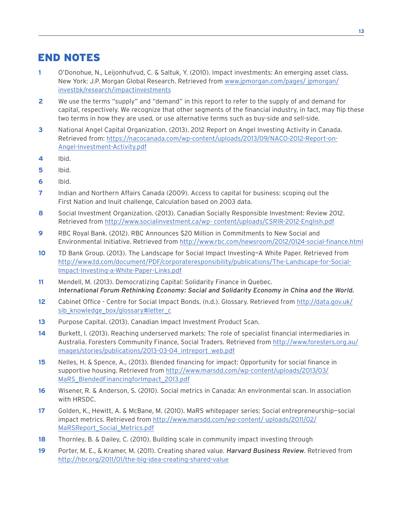### END NOTES

- **1** O'Donohue, N., Leijonhufvud, C. & Saltuk, Y. (2010). Impact investments: An emerging asset class. New York: J.P. Morgan Global Research. Retrieved from www.jpmorgan.com/pages/ jpmorgan/ investbk/research/impactinvestments
- **2** We use the terms "supply" and "demand" in this report to refer to the supply of and demand for capital, respectively. We recognize that other segments of the financial industry, in fact, may flip these two terms in how they are used, or use alternative terms such as buy-side and sell-side.
- **3** National Angel Capital Organization. (2013). 2012 Report on Angel Investing Activity in Canada. Retrieved from: https://nacocanada.com/wp-content/uploads/2013/09/NACO-2012-Report-on-Angel-Investment-Activity.pdf
- **4** Ibid.
- **5** Ibid.
- **6** Ibid.
- **7** Indian and Northern Affairs Canada (2009). Access to capital for business: scoping out the First Nation and Inuit challenge, Calculation based on 2003 data.
- **8** Social Investment Organization. (2013). Canadian Socially Responsible Investment: Review 2012. Retrieved from http://www.socialinvestment.ca/wp- content/uploads/CSRIR-2012-English.pdf
- **9** RBC Royal Bank. (2012). RBC Announces \$20 Million in Commitments to New Social and Environmental Initiative. Retrieved from http://www.rbc.com/newsroom/2012/0124-social-finance.html
- **10** TD Bank Group. (2013). The Landscape for Social Impact Investing—A White Paper. Retrieved from http://www.td.com/document/PDF/corporateresponsibility/publications/The-Landscape-for-Social-Impact-Investing-a-White-Paper-Links.pdf
- **11** Mendell, M. (2013). Democratizing Capital: Solidarity Finance in Quebec. International Forum Rethinking Economy: Social and Solidarity Economy in China and the World.
- **12** Cabinet Office Centre for Social Impact Bonds. (n.d.). Glossary. Retrieved from http://data.gov.uk/ sib\_knowledge\_box/glossary#letter\_c
- **13** Purpose Capital. (2013). Canadian Impact Investment Product Scan.
- **14** Burkett, I. (2013). Reaching underserved markets: The role of specialist financial intermediaries in Australia. Foresters Community Finance, Social Traders. Retrieved from http://www.foresters.org.au/ images/stories/publications/2013-03-04\_intreport\_web.pdf
- **15** Nelles, H. & Spence, A., (2013). Blended financing for impact: Opportunity for social finance in supportive housing. Retrieved from http://www.marsdd.com/wp-content/uploads/2013/03/ MaRS\_BlendedFinancingforImpact\_2013.pdf
- **16** Wisener, R. & Anderson, S. (2010). Social metrics in Canada: An environmental scan. In association with HRSDC.
- **17** Golden, K., Hewitt, A. & McBane, M. (2010). MaRS whitepaper series: Social entrepreneurship—social impact metrics. Retrieved from http://www.marsdd.com/wp-content/ uploads/2011/02/ MaRSReport\_Social\_Metrics.pdf
- **18** Thornley, B. & Dailey, C. (2010). Building scale in community impact investing through
- **19** Porter, M. E., & Kramer, M. (2011). Creating shared value. Harvard Business Review. Retrieved from http://hbr.org/2011/01/the-big-idea-creating-shared-value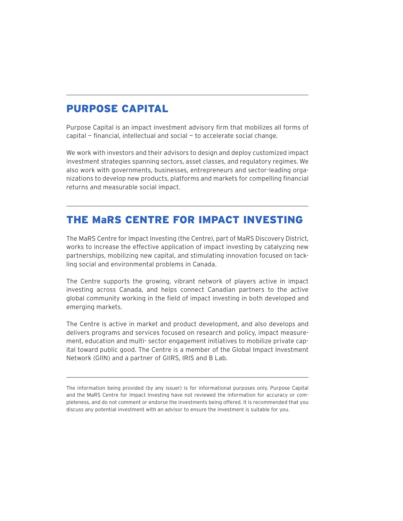### PURPOSE CAPITAL

Purpose Capital is an impact investment advisory firm that mobilizes all forms of capital — financial, intellectual and social — to accelerate social change.

We work with investors and their advisors to design and deploy customized impact investment strategies spanning sectors, asset classes, and regulatory regimes. We also work with governments, businesses, entrepreneurs and sector-leading organizations to develop new products, platforms and markets for compelling financial returns and measurable social impact.

### THE MaRS CENTRE FOR IMPACT INVESTING

The MaRS Centre for Impact Investing (the Centre), part of MaRS Discovery District, works to increase the effective application of impact investing by catalyzing new partnerships, mobilizing new capital, and stimulating innovation focused on tackling social and environmental problems in Canada.

The Centre supports the growing, vibrant network of players active in impact investing across Canada, and helps connect Canadian partners to the active global community working in the field of impact investing in both developed and emerging markets.

The Centre is active in market and product development, and also develops and delivers programs and services focused on research and policy, impact measurement, education and multi- sector engagement initiatives to mobilize private capital toward public good. The Centre is a member of the Global Impact Investment Network (GIIN) and a partner of GIIRS, IRIS and B Lab.

The information being provided (by any issuer) is for informational purposes only. Purpose Capital and the MaRS Centre for Impact Investing have not reviewed the information for accuracy or completeness, and do not comment or endorse the investments being offered. It is recommended that you discuss any potential investment with an advisor to ensure the investment is suitable for you.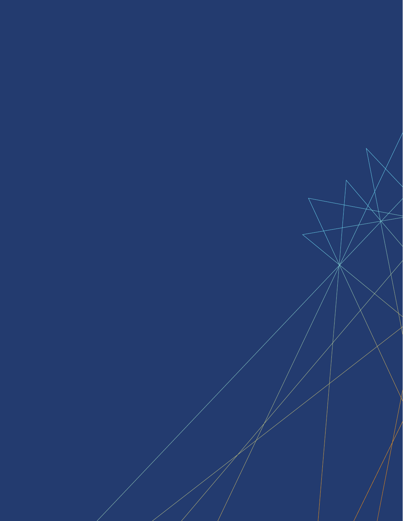